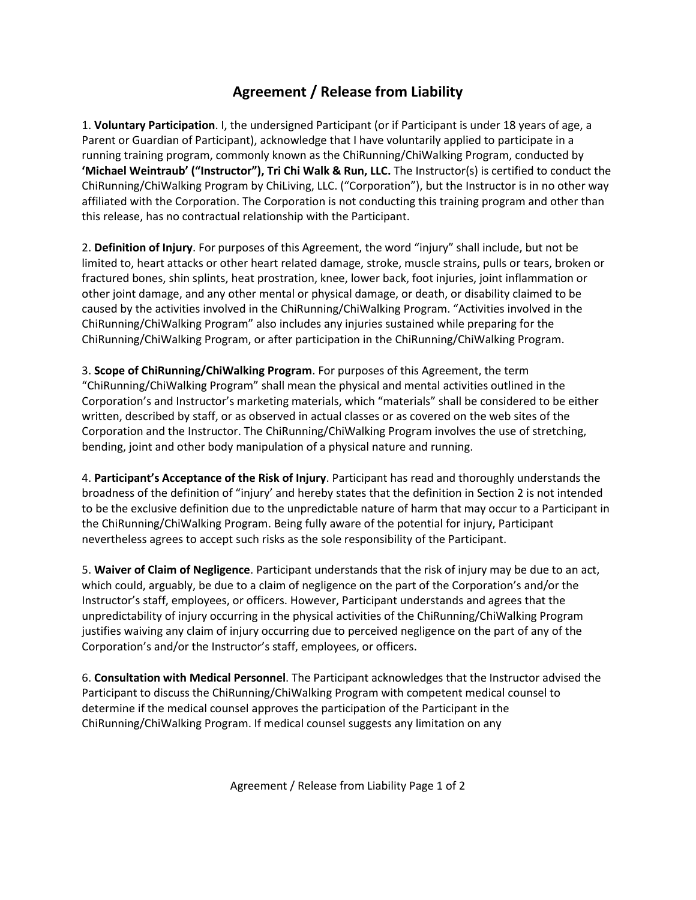## **Agreement / Release from Liability**

1. **Voluntary Participation**. I, the undersigned Participant (or if Participant is under 18 years of age, a Parent or Guardian of Participant), acknowledge that I have voluntarily applied to participate in a running training program, commonly known as the ChiRunning/ChiWalking Program, conducted by **'Michael Weintraub' ("Instructor"), Tri Chi Walk & Run, LLC.** The Instructor(s) is certified to conduct the ChiRunning/ChiWalking Program by ChiLiving, LLC. ("Corporation"), but the Instructor is in no other way affiliated with the Corporation. The Corporation is not conducting this training program and other than this release, has no contractual relationship with the Participant.

2. **Definition of Injury**. For purposes of this Agreement, the word "injury" shall include, but not be limited to, heart attacks or other heart related damage, stroke, muscle strains, pulls or tears, broken or fractured bones, shin splints, heat prostration, knee, lower back, foot injuries, joint inflammation or other joint damage, and any other mental or physical damage, or death, or disability claimed to be caused by the activities involved in the ChiRunning/ChiWalking Program. "Activities involved in the ChiRunning/ChiWalking Program" also includes any injuries sustained while preparing for the ChiRunning/ChiWalking Program, or after participation in the ChiRunning/ChiWalking Program.

3. **Scope of ChiRunning/ChiWalking Program**. For purposes of this Agreement, the term "ChiRunning/ChiWalking Program" shall mean the physical and mental activities outlined in the Corporation's and Instructor's marketing materials, which "materials" shall be considered to be either written, described by staff, or as observed in actual classes or as covered on the web sites of the Corporation and the Instructor. The ChiRunning/ChiWalking Program involves the use of stretching, bending, joint and other body manipulation of a physical nature and running.

4. **Participant's Acceptance of the Risk of Injury**. Participant has read and thoroughly understands the broadness of the definition of "injury' and hereby states that the definition in Section 2 is not intended to be the exclusive definition due to the unpredictable nature of harm that may occur to a Participant in the ChiRunning/ChiWalking Program. Being fully aware of the potential for injury, Participant nevertheless agrees to accept such risks as the sole responsibility of the Participant.

5. **Waiver of Claim of Negligence**. Participant understands that the risk of injury may be due to an act, which could, arguably, be due to a claim of negligence on the part of the Corporation's and/or the Instructor's staff, employees, or officers. However, Participant understands and agrees that the unpredictability of injury occurring in the physical activities of the ChiRunning/ChiWalking Program justifies waiving any claim of injury occurring due to perceived negligence on the part of any of the Corporation's and/or the Instructor's staff, employees, or officers.

6. **Consultation with Medical Personnel**. The Participant acknowledges that the Instructor advised the Participant to discuss the ChiRunning/ChiWalking Program with competent medical counsel to determine if the medical counsel approves the participation of the Participant in the ChiRunning/ChiWalking Program. If medical counsel suggests any limitation on any